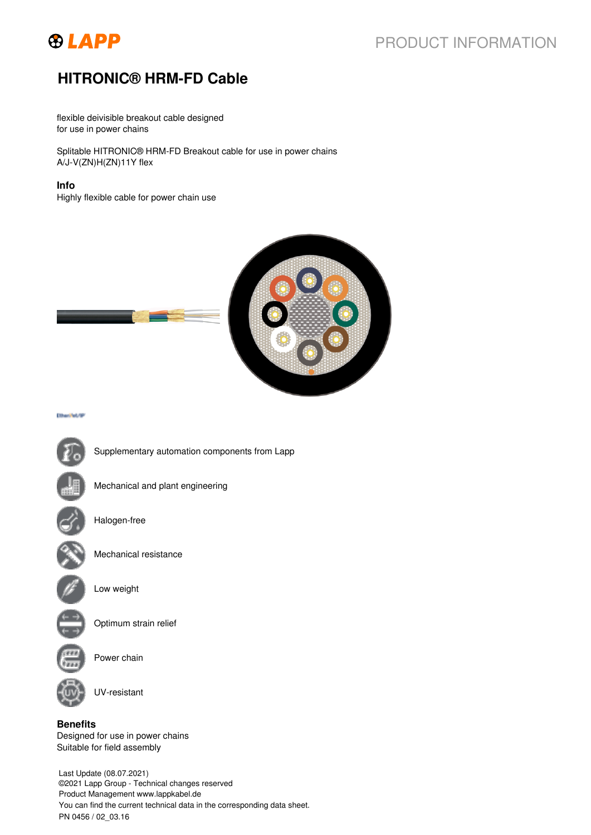

# PRODUCT INFORMATION

# **HITRONIC® HRM-FD Cable**

flexible deivisible breakout cable designed for use in power chains

Splitable HITRONIC® HRM-FD Breakout cable for use in power chains A/J-V(ZN)H(ZN)11Y flex

#### **Info**

Highly flexible cable for power chain use



Etherifet/SP



Optimum strain relief

Power chain

UV-resistant

**Benefits** Designed for use in power chains Suitable for field assembly

Last Update (08.07.2021) ©2021 Lapp Group - Technical changes reserved Product Management www.lappkabel.de You can find the current technical data in the corresponding data sheet. PN 0456 / 02\_03.16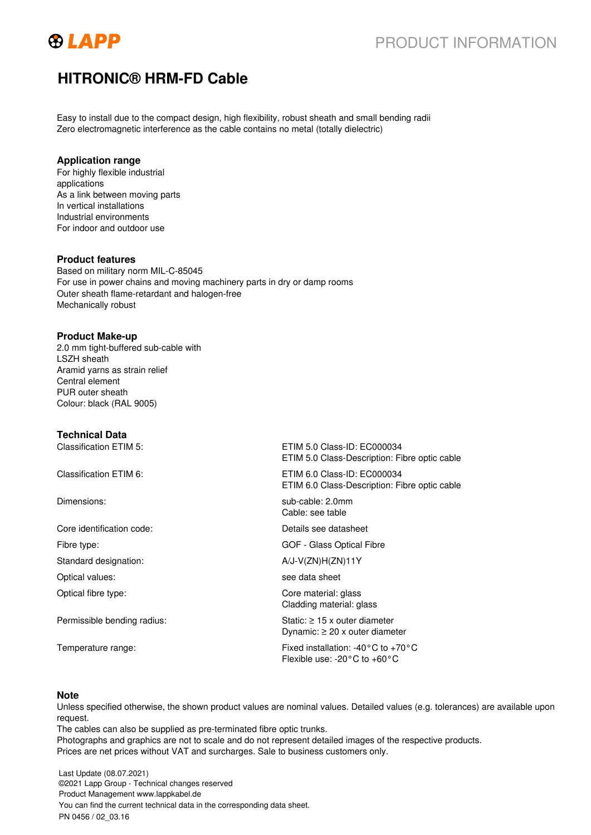

## PRODUCT INFORMATION

## **HITRONIC® HRM-FD Cable**

Easy to install due to the compact design, high flexibility, robust sheath and small bending radii Zero electromagnetic interference as the cable contains no metal (totally dielectric)

#### **Application range**

For highly flexible industrial applications As a link between moving parts In vertical installations Industrial environments For indoor and outdoor use

### **Product features**

Based on military norm MIL-C-85045 For use in power chains and moving machinery parts in dry or damp rooms Outer sheath flame-retardant and halogen-free Mechanically robust

#### **Product Make-up**

2.0 mm tight-buffered sub-cable with LSZH sheath Aramid yarns as strain relief Central element PUR outer sheath Colour: black (RAL 9005)

### **Technical Data**

Classification ETIM 5: ETIM 5.0 Class-ID: EC000034 ETIM 5.0 Class-Description: Fibre optic cable Classification ETIM 6: ETIM 6.0 Class-ID: EC000034 ETIM 6.0 Class-Description: Fibre optic cable Dimensions: sub-cable: 2.0mm Cable: see table Core identification code: Details see datasheet Fibre type: GOF - Glass Optical Fibre Standard designation:  $A/J-V(ZN)H(ZN)11Y$ Optical values: see data sheet Optical fibre type: Core material: glass Cladding material: glass Permissible bending radius: Static: ≥ 15 x outer diameter Dynamic: ≥ 20 x outer diameter Temperature range: Fixed installation: -40°C to +70°C Flexible use: -20°C to +60°C

#### **Note**

Unless specified otherwise, the shown product values are nominal values. Detailed values (e.g. tolerances) are available upon request.

The cables can also be supplied as pre-terminated fibre optic trunks. Photographs and graphics are not to scale and do not represent detailed images of the respective products. Prices are net prices without VAT and surcharges. Sale to business customers only.

Last Update (08.07.2021) ©2021 Lapp Group - Technical changes reserved Product Management www.lappkabel.de You can find the current technical data in the corresponding data sheet. PN 0456 / 02\_03.16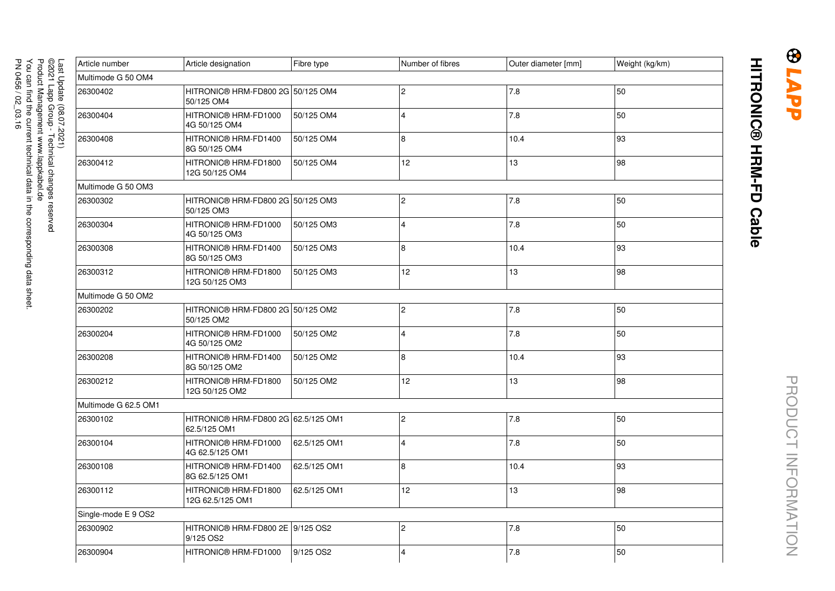| Article number       | Article designation                                 | Fibre type   | Number of fibres | Outer diameter [mm] | Weight (kg/km) |  |  |  |  |
|----------------------|-----------------------------------------------------|--------------|------------------|---------------------|----------------|--|--|--|--|
| Multimode G 50 OM4   |                                                     |              |                  |                     |                |  |  |  |  |
| 26300402             | HITRONIC® HRM-FD800 2G 50/125 OM4<br>50/125 OM4     |              | <u> 2</u>        | 7.8                 | 50             |  |  |  |  |
| 26300404             | HITRONIC® HRM-FD1000<br>4G 50/125 OM4               | 50/125 OM4   | $\overline{4}$   | 7.8                 | 50             |  |  |  |  |
| 26300408             | HITRONIC® HRM-FD1400<br>8G 50/125 OM4               | 50/125 OM4   | 8                | 10.4                | 93             |  |  |  |  |
| 26300412             | HITRONIC® HRM-FD1800<br>12G 50/125 OM4              | 50/125 OM4   | 12               | 13                  | 98             |  |  |  |  |
| Multimode G 50 OM3   |                                                     |              |                  |                     |                |  |  |  |  |
| 26300302             | HITRONIC® HRM-FD800 2G 50/125 OM3<br>50/125 OM3     |              | $\overline{c}$   | 7.8                 | 50             |  |  |  |  |
| 26300304             | HITRONIC® HRM-FD1000<br>4G 50/125 OM3               | 50/125 OM3   | $\overline{4}$   | 7.8                 | 50             |  |  |  |  |
| 26300308             | HITRONIC® HRM-FD1400<br>8G 50/125 OM3               | 50/125 OM3   | 8                | 10.4                | 93             |  |  |  |  |
| 26300312             | HITRONIC® HRM-FD1800<br>12G 50/125 OM3              | 50/125 OM3   | 12               | 13                  | 98             |  |  |  |  |
| Multimode G 50 OM2   |                                                     |              |                  |                     |                |  |  |  |  |
| 26300202             | HITRONIC® HRM-FD800 2G 50/125 OM2<br>50/125 OM2     |              | $\overline{c}$   | 7.8                 | 50             |  |  |  |  |
| 26300204             | HITRONIC® HRM-FD1000<br>4G 50/125 OM2               | 50/125 OM2   | $\overline{4}$   | 7.8                 | 50             |  |  |  |  |
| 26300208             | HITRONIC® HRM-FD1400<br>8G 50/125 OM2               | 50/125 OM2   | 8                | 10.4                | 93             |  |  |  |  |
| 26300212             | HITRONIC® HRM-FD1800<br>12G 50/125 OM2              | 50/125 OM2   | 12 <sup>2</sup>  | 13                  | 98             |  |  |  |  |
| Multimode G 62.5 OM1 |                                                     |              |                  |                     |                |  |  |  |  |
| 26300102             | HITRONIC® HRM-FD800 2G 62.5/125 OM1<br>62.5/125 OM1 |              | $\overline{c}$   | 7.8                 | 50             |  |  |  |  |
| 26300104             | HITRONIC® HRM-FD1000<br>4G 62.5/125 OM1             | 62.5/125 OM1 | $\overline{4}$   | 7.8                 | 50             |  |  |  |  |
| 26300108             | HITRONIC® HRM-FD1400<br>8G 62.5/125 OM1             | 62.5/125 OM1 | 8                | 10.4                | 93             |  |  |  |  |
| 26300112             | HITRONIC® HRM-FD1800<br>12G 62.5/125 OM1            | 62.5/125 OM1 | 12               | 13                  | 98             |  |  |  |  |
| Single-mode E 9 OS2  |                                                     |              |                  |                     |                |  |  |  |  |
| 26300902             | HITRONIC® HRM-FD800 2E 9/125 OS2<br>9/125 OS2       |              | $\overline{c}$   | 7.8                 | 50             |  |  |  |  |
| 26300904             | HITRONIC® HRM-FD1000                                | 9/125 OS2    | $\overline{4}$   | 7.8                 | 50             |  |  |  |  |

**BLAPP**